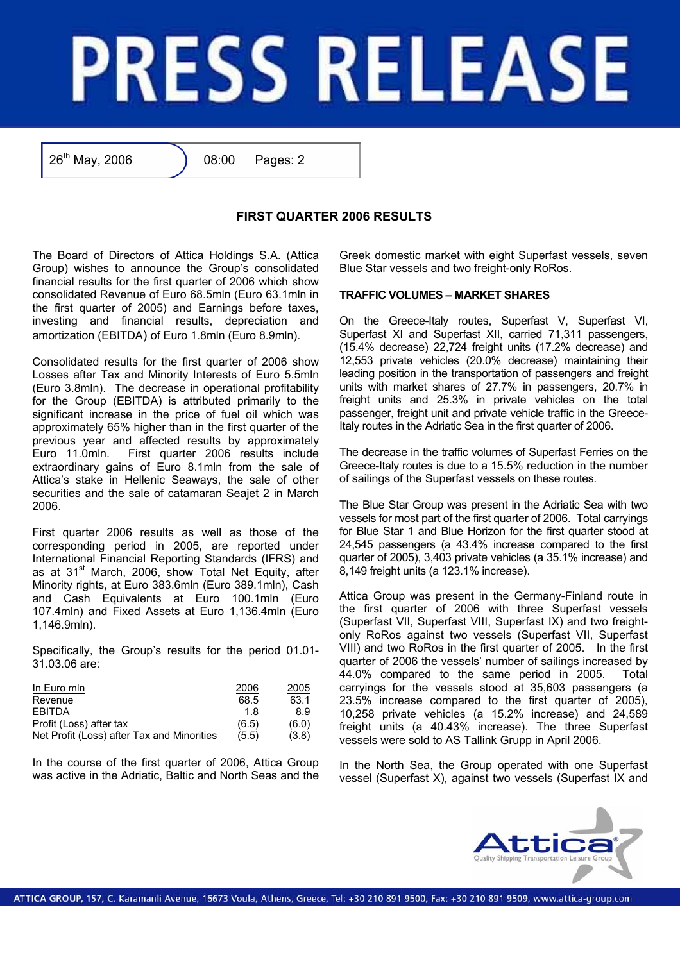

26<sup>th</sup> May, 2006 <br>
(2006 **08:00** Pages: 2

## **FIRST QUARTER 2006 RESULTS**

The Board of Directors of Attica Holdings S.A. (Attica Group) wishes to announce the Group's consolidated financial results for the first quarter of 2006 which show consolidated Revenue of Euro 68.5mln (Euro 63.1mln in the first quarter of 2005) and Earnings before taxes, investing and financial results, depreciation and amortization (EBITDA) of Euro 1.8mln (Euro 8.9mln).

Consolidated results for the first quarter of 2006 show Losses after Tax and Minority Interests of Euro 5.5mln (Euro 3.8mln). The decrease in operational profitability for the Group (EBITDA) is attributed primarily to the significant increase in the price of fuel oil which was approximately 65% higher than in the first quarter of the previous year and affected results by approximately Euro 11.0mln. First quarter 2006 results include extraordinary gains of Euro 8.1mln from the sale of Attica's stake in Hellenic Seaways, the sale of other securities and the sale of catamaran Seajet 2 in March 2006.

First quarter 2006 results as well as those of the corresponding period in 2005, are reported under International Financial Reporting Standards (IFRS) and as at 31<sup>st</sup> March, 2006, show Total Net Equity, after Minority rights, at Euro 383.6mln (Euro 389.1mln), Cash and Cash Equivalents at Euro 100.1mln (Euro 107.4mln) and Fixed Assets at Euro 1,136.4mln (Euro 1,146.9mln).

Specifically, the Group's results for the period 01.01- 31.03.06 are:

| In Euro min                                | 2006  | 2005  |
|--------------------------------------------|-------|-------|
| Revenue                                    | 68.5  | 63.1  |
| <b>FRITDA</b>                              | 1 R   | 8.9   |
| Profit (Loss) after tax                    | (6.5) | (6.0) |
| Net Profit (Loss) after Tax and Minorities | (5.5) | (3.8) |

In the course of the first quarter of 2006, Attica Group was active in the Adriatic, Baltic and North Seas and the Greek domestic market with eight Superfast vessels, seven Blue Star vessels and two freight-only RoRos.

## **TRAFFIC VOLUMES – MARKET SHARES**

On the Greece-Italy routes, Superfast V, Superfast VI, Superfast XI and Superfast XII, carried 71,311 passengers, (15.4% decrease) 22,724 freight units (17.2% decrease) and 12,553 private vehicles (20.0% decrease) maintaining their leading position in the transportation of passengers and freight units with market shares of 27.7% in passengers, 20.7% in freight units and 25.3% in private vehicles on the total passenger, freight unit and private vehicle traffic in the Greece-Italy routes in the Adriatic Sea in the first quarter of 2006.

The decrease in the traffic volumes of Superfast Ferries on the Greece-Italy routes is due to a 15.5% reduction in the number of sailings of the Superfast vessels on these routes.

The Blue Star Group was present in the Adriatic Sea with two vessels for most part of the first quarter of 2006. Total carryings for Blue Star 1 and Blue Horizon for the first quarter stood at 24,545 passengers (a 43.4% increase compared to the first quarter of 2005), 3,403 private vehicles (a 35.1% increase) and 8,149 freight units (a 123.1% increase).

Attica Group was present in the Germany-Finland route in the first quarter of 2006 with three Superfast vessels (Superfast VII, Superfast VIII, Superfast IX) and two freightonly RoRos against two vessels (Superfast VII, Superfast VIII) and two RoRos in the first quarter of 2005. In the first quarter of 2006 the vessels' number of sailings increased by 44.0% compared to the same period in 2005. Total carryings for the vessels stood at 35,603 passengers (a 23.5% increase compared to the first quarter of 2005), 10,258 private vehicles (a 15.2% increase) and 24,589 freight units (a 40.43% increase). The three Superfast vessels were sold to AS Tallink Grupp in April 2006.

In the North Sea, the Group operated with one Superfast vessel (Superfast X), against two vessels (Superfast IX and